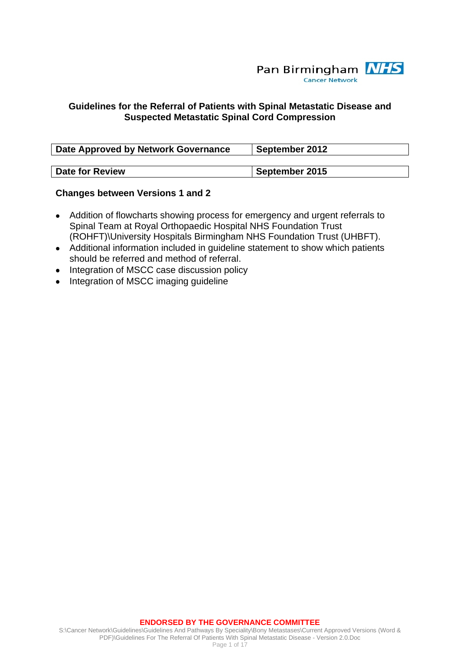

### **Guidelines for the Referral of Patients with Spinal Metastatic Disease and Suspected Metastatic Spinal Cord Compression**

| <b>Date Approved by Network Governance</b> | September 2012 |
|--------------------------------------------|----------------|
|                                            |                |
| Date for Review                            | September 2015 |

#### **Changes between Versions 1 and 2**

- Addition of flowcharts showing process for emergency and urgent referrals to Spinal Team at Royal Orthopaedic Hospital NHS Foundation Trust (ROHFT)\University Hospitals Birmingham NHS Foundation Trust (UHBFT).
- Additional information included in guideline statement to show which patients should be referred and method of referral.
- Integration of MSCC case discussion policy
- Integration of MSCC imaging guideline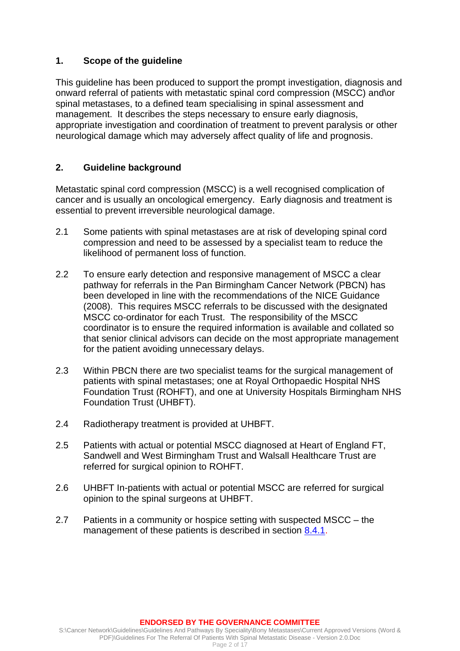# **1. Scope of the guideline**

This guideline has been produced to support the prompt investigation, diagnosis and onward referral of patients with metastatic spinal cord compression (MSCC) and\or spinal metastases, to a defined team specialising in spinal assessment and management. It describes the steps necessary to ensure early diagnosis, appropriate investigation and coordination of treatment to prevent paralysis or other neurological damage which may adversely affect quality of life and prognosis.

# **2. Guideline background**

Metastatic spinal cord compression (MSCC) is a well recognised complication of cancer and is usually an oncological emergency. Early diagnosis and treatment is essential to prevent irreversible neurological damage.

- 2.1 Some patients with spinal metastases are at risk of developing spinal cord compression and need to be assessed by a specialist team to reduce the likelihood of permanent loss of function.
- 2.2 To ensure early detection and responsive management of MSCC a clear pathway for referrals in the Pan Birmingham Cancer Network (PBCN) has been developed in line with the recommendations of the NICE Guidance (2008). This requires MSCC referrals to be discussed with the designated MSCC co-ordinator for each Trust. The responsibility of the MSCC coordinator is to ensure the required information is available and collated so that senior clinical advisors can decide on the most appropriate management for the patient avoiding unnecessary delays.
- 2.3 Within PBCN there are two specialist teams for the surgical management of patients with spinal metastases; one at Royal Orthopaedic Hospital NHS Foundation Trust (ROHFT), and one at University Hospitals Birmingham NHS Foundation Trust (UHBFT).
- 2.4 Radiotherapy treatment is provided at UHBFT.
- 2.5 Patients with actual or potential MSCC diagnosed at Heart of England FT, Sandwell and West Birmingham Trust and Walsall Healthcare Trust are referred for surgical opinion to ROHFT.
- 2.6 UHBFT In-patients with actual or potential MSCC are referred for surgical opinion to the spinal surgeons at UHBFT.
- 2.7 Patients in a community or hospice setting with suspected MSCC the management of these patients is described in section [8.4.1.](#page-7-0)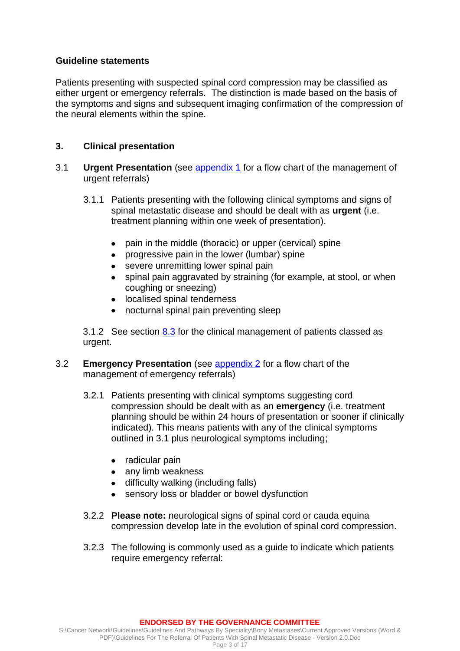### **Guideline statements**

Patients presenting with suspected spinal cord compression may be classified as either urgent or emergency referrals. The distinction is made based on the basis of the symptoms and signs and subsequent imaging confirmation of the compression of the neural elements within the spine.

## **3. Clinical presentation**

- 3.1 **Urgent Presentation** (see [appendix 1](#page-5-0) for a flow chart of the management of urgent referrals)
	- 3.1.1 Patients presenting with the following clinical symptoms and signs of spinal metastatic disease and should be dealt with as **urgent** (i.e. treatment planning within one week of presentation).
		- pain in the middle (thoracic) or upper (cervical) spine
		- progressive pain in the lower (lumbar) spine  $\bullet$
		- $\bullet$ severe unremitting lower spinal pain
		- spinal pain aggravated by straining (for example, at stool, or when coughing or sneezing)
		- localised spinal tenderness
		- nocturnal spinal pain preventing sleep

3.1.2 See section [8.3](#page-6-0) for the clinical management of patients classed as urgent.

- <span id="page-2-0"></span>3.2 **Emergency Presentation** (see [appendix 2](#page-5-1) for a flow chart of the management of emergency referrals)
	- 3.2.1 Patients presenting with clinical symptoms suggesting cord compression should be dealt with as an **emergency** (i.e. treatment planning should be within 24 hours of presentation or sooner if clinically indicated). This means patients with any of the clinical symptoms outlined in 3.1 plus neurological symptoms including;
		- radicular pain
		- any limb weakness
		- difficulty walking (including falls)
		- sensory loss or bladder or bowel dysfunction
	- 3.2.2 **Please note:** neurological signs of spinal cord or cauda equina compression develop late in the evolution of spinal cord compression.
	- 3.2.3 The following is commonly used as a guide to indicate which patients require emergency referral: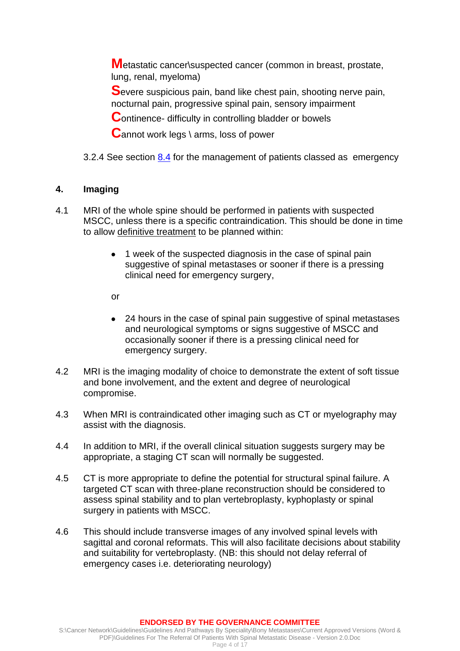**M**etastatic cancer\suspected cancer (common in breast, prostate, lung, renal, myeloma)

**S**evere suspicious pain, band like chest pain, shooting nerve pain, nocturnal pain, progressive spinal pain, sensory impairment

**C**ontinence- difficulty in controlling bladder or bowels

**C**annot work legs \ arms, loss of power

3.2.4 See section [8.4](#page-7-1) for the management of patients classed as emergency

# **4. Imaging**

- 4.1 MRI of the whole spine should be performed in patients with suspected MSCC, unless there is a specific contraindication. This should be done in time to allow definitive treatment to be planned within:
	- 1 week of the suspected diagnosis in the case of spinal pain suggestive of spinal metastases or sooner if there is a pressing clinical need for emergency surgery,

or

- 24 hours in the case of spinal pain suggestive of spinal metastases and neurological symptoms or signs suggestive of MSCC and occasionally sooner if there is a pressing clinical need for emergency surgery.
- 4.2 MRI is the imaging modality of choice to demonstrate the extent of soft tissue and bone involvement, and the extent and degree of neurological compromise.
- 4.3 When MRI is contraindicated other imaging such as CT or myelography may assist with the diagnosis.
- 4.4 In addition to MRI, if the overall clinical situation suggests surgery may be appropriate, a staging CT scan will normally be suggested.
- 4.5 CT is more appropriate to define the potential for structural spinal failure. A targeted CT scan with three-plane reconstruction should be considered to assess spinal stability and to plan vertebroplasty, kyphoplasty or spinal surgery in patients with MSCC.
- 4.6 This should include transverse images of any involved spinal levels with sagittal and coronal reformats. This will also facilitate decisions about stability and suitability for vertebroplasty. (NB: this should not delay referral of emergency cases i.e. deteriorating neurology)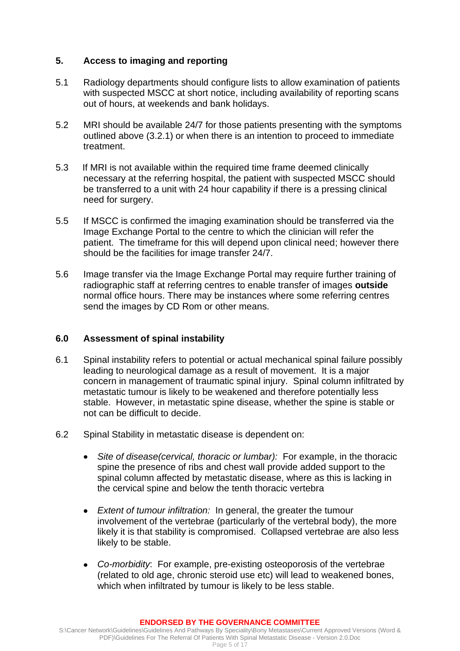## **5. Access to imaging and reporting**

- 5.1 Radiology departments should configure lists to allow examination of patients with suspected MSCC at short notice, including availability of reporting scans out of hours, at weekends and bank holidays.
- 5.2 MRI should be available 24/7 for those patients presenting with the symptoms outlined above (3.2.1) or when there is an intention to proceed to immediate treatment.
- 5.3 If MRI is not available within the required time frame deemed clinically necessary at the referring hospital, the patient with suspected MSCC should be transferred to a unit with 24 hour capability if there is a pressing clinical need for surgery.
- 5.5 If MSCC is confirmed the imaging examination should be transferred via the Image Exchange Portal to the centre to which the clinician will refer the patient. The timeframe for this will depend upon clinical need; however there should be the facilities for image transfer 24/7.
- 5.6 Image transfer via the Image Exchange Portal may require further training of radiographic staff at referring centres to enable transfer of images **outside**  normal office hours. There may be instances where some referring centres send the images by CD Rom or other means.

### **6.0 Assessment of spinal instability**

- 6.1 Spinal instability refers to potential or actual mechanical spinal failure possibly leading to neurological damage as a result of movement. It is a major concern in management of traumatic spinal injury. Spinal column infiltrated by metastatic tumour is likely to be weakened and therefore potentially less stable. However, in metastatic spine disease, whether the spine is stable or not can be difficult to decide.
- 6.2 Spinal Stability in metastatic disease is dependent on:
	- *Site of disease(cervical, thoracic or lumbar):* For example, in the thoracic  $\bullet$ spine the presence of ribs and chest wall provide added support to the spinal column affected by metastatic disease, where as this is lacking in the cervical spine and below the tenth thoracic vertebra
	- $\bullet$ *Extent of tumour infiltration:* In general, the greater the tumour involvement of the vertebrae (particularly of the vertebral body), the more likely it is that stability is compromised. Collapsed vertebrae are also less likely to be stable.
	- *Co-morbidity*: For example, pre-existing osteoporosis of the vertebrae (related to old age, chronic steroid use etc) will lead to weakened bones, which when infiltrated by tumour is likely to be less stable.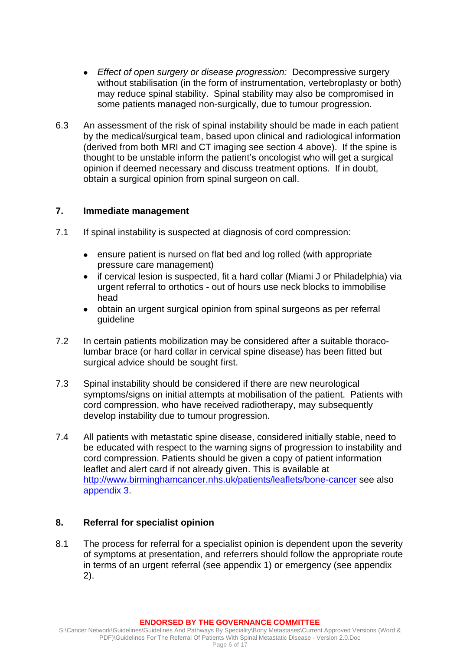- *Effect of open surgery or disease progression:* Decompressive surgery  $\bullet$ without stabilisation (in the form of instrumentation, vertebroplasty or both) may reduce spinal stability. Spinal stability may also be compromised in some patients managed non-surgically, due to tumour progression.
- 6.3 An assessment of the risk of spinal instability should be made in each patient by the medical/surgical team, based upon clinical and radiological information (derived from both MRI and CT imaging see section 4 above). If the spine is thought to be unstable inform the patient's oncologist who will get a surgical opinion if deemed necessary and discuss treatment options. If in doubt, obtain a surgical opinion from spinal surgeon on call.

### **7. Immediate management**

- 7.1 If spinal instability is suspected at diagnosis of cord compression:
	- ensure patient is nursed on flat bed and log rolled (with appropriate pressure care management)
	- $\bullet$ if cervical lesion is suspected, fit a hard collar (Miami J or Philadelphia) via urgent referral to orthotics - out of hours use neck blocks to immobilise head
	- obtain an urgent surgical opinion from spinal surgeons as per referral  $\bullet$ guideline
- 7.2 In certain patients mobilization may be considered after a suitable thoracolumbar brace (or hard collar in cervical spine disease) has been fitted but surgical advice should be sought first.
- 7.3 Spinal instability should be considered if there are new neurological symptoms/signs on initial attempts at mobilisation of the patient. Patients with cord compression, who have received radiotherapy, may subsequently develop instability due to tumour progression.
- 7.4 All patients with metastatic spine disease, considered initially stable, need to be educated with respect to the warning signs of progression to instability and cord compression. Patients should be given a copy of patient information leaflet and alert card if not already given. This is available at <http://www.birminghamcancer.nhs.uk/patients/leaflets/bone-cancer> see also [appendix 3.](#page-14-0)

### **8. Referral for specialist opinion**

<span id="page-5-1"></span><span id="page-5-0"></span>8.1 The process for referral for a specialist opinion is dependent upon the severity of symptoms at presentation, and referrers should follow the appropriate route in terms of an urgent referral (see appendix 1) or emergency (see appendix 2).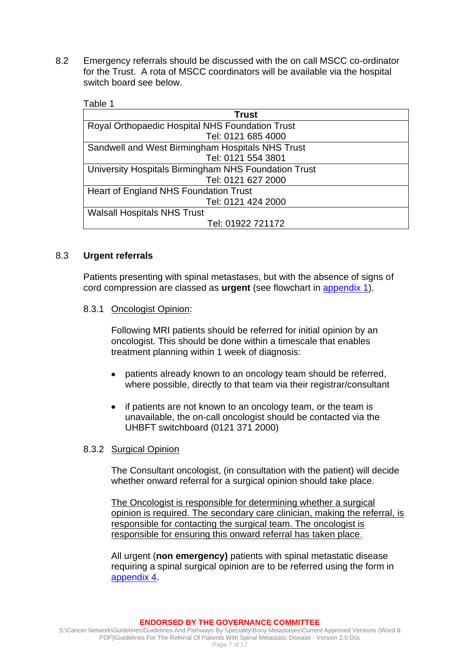8.2 Emergency referrals should be discussed with the on call MSCC co-ordinator for the Trust. A rota of MSCC coordinators will be available via the hospital switch board see below.

<span id="page-6-1"></span>Table 1

| <b>Trust</b>                                         |  |  |
|------------------------------------------------------|--|--|
| Royal Orthopaedic Hospital NHS Foundation Trust      |  |  |
| Tel: 0121 685 4000                                   |  |  |
| Sandwell and West Birmingham Hospitals NHS Trust     |  |  |
| Tel: 0121 554 3801                                   |  |  |
| University Hospitals Birmingham NHS Foundation Trust |  |  |
| Tel: 0121 627 2000                                   |  |  |
| Heart of England NHS Foundation Trust                |  |  |
| Tel: 0121 424 2000                                   |  |  |
| <b>Walsall Hospitals NHS Trust</b>                   |  |  |
| Tel: 01922 721172                                    |  |  |

### 8.3 **Urgent referrals**

<span id="page-6-0"></span>Patients presenting with spinal metastases, but with the absence of signs of cord compression are classed as **urgent** (see flowchart in [appendix 1\)](#page-5-0).

### 8.3.1 Oncologist Opinion:

Following MRI patients should be referred for initial opinion by an oncologist. This should be done within a timescale that enables treatment planning within 1 week of diagnosis:

- patients already known to an oncology team should be referred,  $\bullet$ where possible, directly to that team via their registrar/consultant
- if patients are not known to an oncology team, or the team is unavailable, the on-call oncologist should be contacted via the UHBFT switchboard (0121 371 2000)

### 8.3.2 Surgical Opinion

The Consultant oncologist, (in consultation with the patient) will decide whether onward referral for a surgical opinion should take place.

The Oncologist is responsible for determining whether a surgical opinion is required. The secondary care clinician, making the referral, is responsible for contacting the surgical team. The oncologist is responsible for ensuring this onward referral has taken place.

All urgent (**non emergency)** patients with spinal metastatic disease requiring a spinal surgical opinion are to be referred using the form in [appendix 4.](#page-15-0)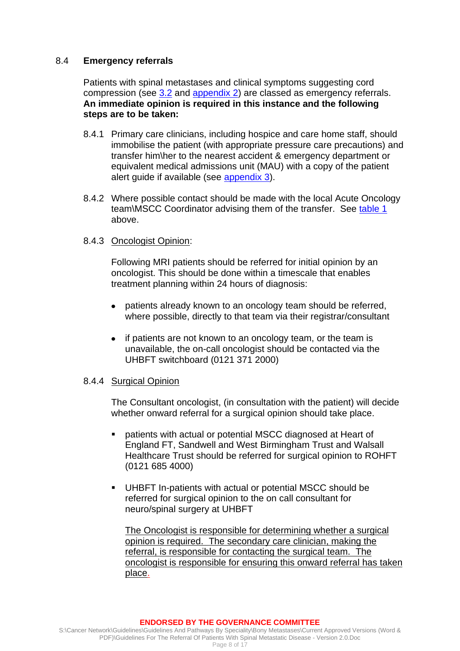#### <span id="page-7-0"></span>8.4 **Emergency referrals**

<span id="page-7-1"></span>Patients with spinal metastases and clinical symptoms suggesting cord compression (see [3.2](#page-2-0) and [appendix 2\)](#page-5-1) are classed as emergency referrals. **An immediate opinion is required in this instance and the following steps are to be taken:**

- 8.4.1 Primary care clinicians, including hospice and care home staff, should immobilise the patient (with appropriate pressure care precautions) and transfer him\her to the nearest accident & emergency department or equivalent medical admissions unit (MAU) with a copy of the patient alert guide if available (see [appendix 3\)](#page-14-0).
- 8.4.2 Where possible contact should be made with the local Acute Oncology team\MSCC Coordinator advising them of the transfer. See [table 1](#page-6-1) above.

#### 8.4.3 Oncologist Opinion:

Following MRI patients should be referred for initial opinion by an oncologist. This should be done within a timescale that enables treatment planning within 24 hours of diagnosis:

- patients already known to an oncology team should be referred,  $\bullet$ where possible, directly to that team via their registrar/consultant
- if patients are not known to an oncology team, or the team is unavailable, the on-call oncologist should be contacted via the UHBFT switchboard (0121 371 2000)

#### 8.4.4 Surgical Opinion

The Consultant oncologist, (in consultation with the patient) will decide whether onward referral for a surgical opinion should take place.

- patients with actual or potential MSCC diagnosed at Heart of England FT, Sandwell and West Birmingham Trust and Walsall Healthcare Trust should be referred for surgical opinion to ROHFT (0121 685 4000)
- UHBFT In-patients with actual or potential MSCC should be referred for surgical opinion to the on call consultant for neuro/spinal surgery at UHBFT

The Oncologist is responsible for determining whether a surgical opinion is required. The secondary care clinician, making the referral, is responsible for contacting the surgical team. The oncologist is responsible for ensuring this onward referral has taken place.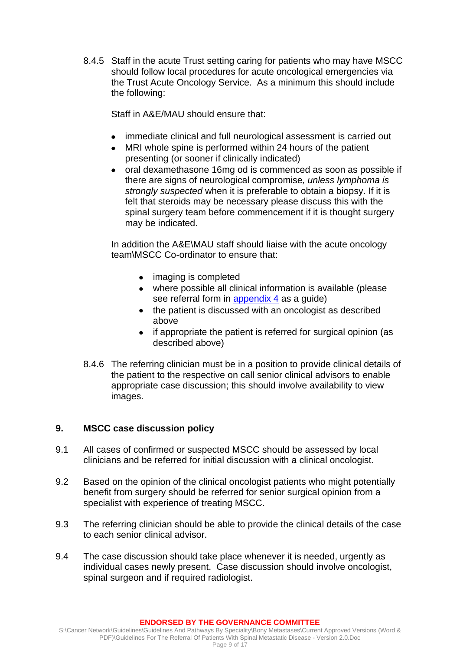8.4.5 Staff in the acute Trust setting caring for patients who may have MSCC should follow local procedures for acute oncological emergencies via the Trust Acute Oncology Service. As a minimum this should include the following:

Staff in A&E/MAU should ensure that:

- immediate clinical and full neurological assessment is carried out
- MRI whole spine is performed within 24 hours of the patient presenting (or sooner if clinically indicated)
- oral dexamethasone 16mg od is commenced as soon as possible if there are signs of neurological compromise*, unless lymphoma is strongly suspected* when it is preferable to obtain a biopsy. If it is felt that steroids may be necessary please discuss this with the spinal surgery team before commencement if it is thought surgery may be indicated.

In addition the A&E\MAU staff should liaise with the acute oncology team\MSCC Co-ordinator to ensure that:

- imaging is completed
- where possible all clinical information is available (please see referral form in [appendix 4](#page-15-0) as a guide)
- the patient is discussed with an oncologist as described above
- if appropriate the patient is referred for surgical opinion (as  $\bullet$ described above)
- 8.4.6 The referring clinician must be in a position to provide clinical details of the patient to the respective on call senior clinical advisors to enable appropriate case discussion; this should involve availability to view images.

### **9. MSCC case discussion policy**

- 9.1 All cases of confirmed or suspected MSCC should be assessed by local clinicians and be referred for initial discussion with a clinical oncologist.
- 9.2 Based on the opinion of the clinical oncologist patients who might potentially benefit from surgery should be referred for senior surgical opinion from a specialist with experience of treating MSCC.
- 9.3 The referring clinician should be able to provide the clinical details of the case to each senior clinical advisor.
- 9.4 The case discussion should take place whenever it is needed, urgently as individual cases newly present. Case discussion should involve oncologist, spinal surgeon and if required radiologist.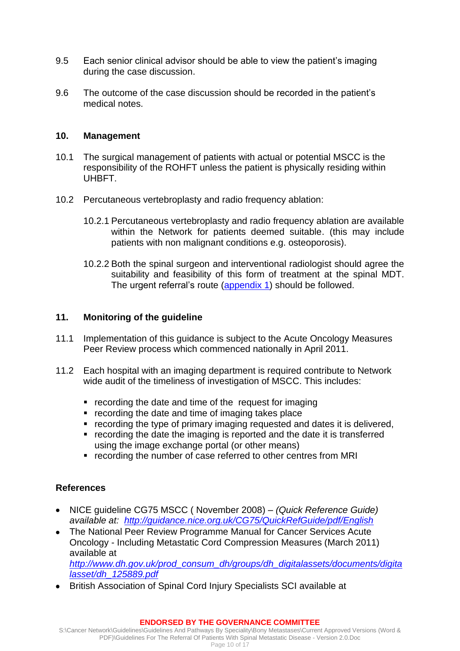- 9.5 Each senior clinical advisor should be able to view the patient's imaging during the case discussion.
- 9.6 The outcome of the case discussion should be recorded in the patient's medical notes.

#### **10. Management**

- 10.1 The surgical management of patients with actual or potential MSCC is the responsibility of the ROHFT unless the patient is physically residing within UHBFT.
- 10.2 Percutaneous vertebroplasty and radio frequency ablation:
	- 10.2.1 Percutaneous vertebroplasty and radio frequency ablation are available within the Network for patients deemed suitable. (this may include patients with non malignant conditions e.g. osteoporosis).
	- 10.2.2 Both the spinal surgeon and interventional radiologist should agree the suitability and feasibility of this form of treatment at the spinal MDT. The urgent referral's route [\(appendix 1\)](#page-5-0) should be followed.

### **11. Monitoring of the guideline**

- 11.1 Implementation of this guidance is subject to the Acute Oncology Measures Peer Review process which commenced nationally in April 2011.
- 11.2 Each hospital with an imaging department is required contribute to Network wide audit of the timeliness of investigation of MSCC. This includes:
	- recording the date and time of the request for imaging
	- recording the date and time of imaging takes place
	- recording the type of primary imaging requested and dates it is delivered,
	- recording the date the imaging is reported and the date it is transferred using the image exchange portal (or other means)
	- recording the number of case referred to other centres from MRI

### **References**

- NICE guideline CG75 MSCC ( November 2008) *– (Quick Reference Guide) available at: <http://guidance.nice.org.uk/CG75/QuickRefGuide/pdf/English>*
- The National Peer Review Programme Manual for Cancer Services Acute Oncology - Including Metastatic Cord Compression Measures (March 2011) available at *[http://www.dh.gov.uk/prod\\_consum\\_dh/groups/dh\\_digitalassets/documents/digita](http://www.dh.gov.uk/prod_consum_dh/groups/dh_digitalassets/documents/digitalasset/dh_125889.pdf) [lasset/dh\\_125889.pdf](http://www.dh.gov.uk/prod_consum_dh/groups/dh_digitalassets/documents/digitalasset/dh_125889.pdf)*
- British Association of Spinal Cord Injury Specialists SCI available at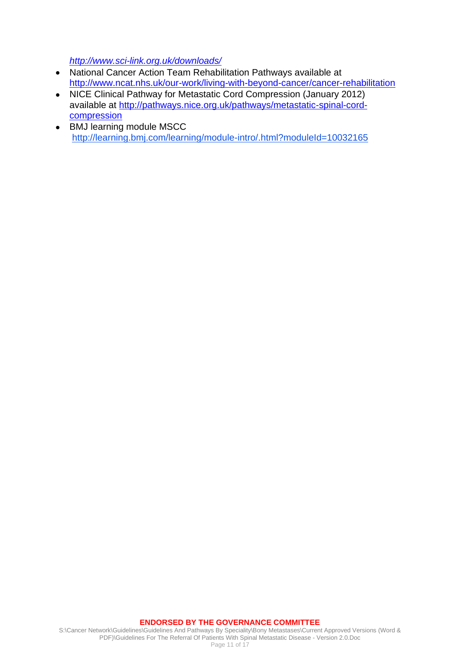*<http://www.sci-link.org.uk/downloads/>*

- National Cancer Action Team Rehabilitation Pathways available at <http://www.ncat.nhs.uk/our-work/living-with-beyond-cancer/cancer-rehabilitation>
- NICE Clinical Pathway for Metastatic Cord Compression (January 2012) available at [http://pathways.nice.org.uk/pathways/metastatic-spinal-cord](http://pathways.nice.org.uk/pathways/metastatic-spinal-cord-compression)[compression](http://pathways.nice.org.uk/pathways/metastatic-spinal-cord-compression)
- BMJ learning module MSCC <http://learning.bmj.com/learning/module-intro/.html?moduleId=10032165>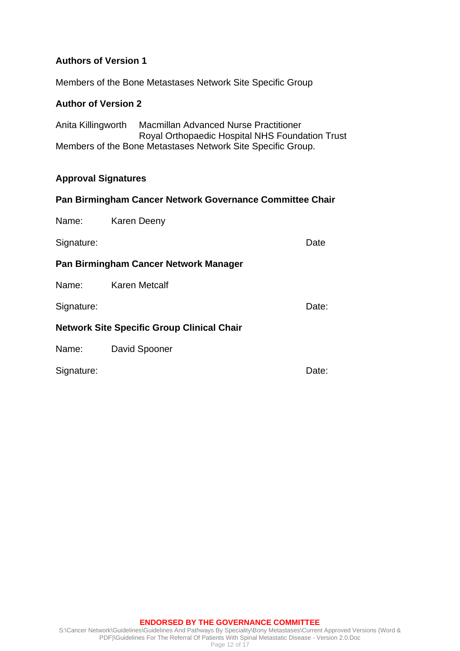# **Authors of Version 1**

Members of the Bone Metastases Network Site Specific Group

## **Author of Version 2**

Anita Killingworth Macmillan Advanced Nurse Practitioner Royal Orthopaedic Hospital NHS Foundation Trust Members of the Bone Metastases Network Site Specific Group.

### **Approval Signatures**

### **Pan Birmingham Cancer Network Governance Committee Chair**

Name: Karen Deeny

Signature: Date

#### **Pan Birmingham Cancer Network Manager**

Name: Karen Metcalf

Signature: Date: Date: Date: Date: Date: Date: Date: Date: Date: Date: Date: Date: Date: Date: Date: Date: Date: Date: Date: Date: Date: Date: Date: Date: Date: Date: Date: Date: Date: Date: Date: Date: Date: Date: Date: D

#### **Network Site Specific Group Clinical Chair**

Name: David Spooner

Signature: Date: Date: Date: Date: Date: Date: Date: Date: Date: Date: Date: Date: Date: Date: Date: Date: Date: Date: Date: Date: Date: Date: Date: Date: Date: Date: Date: Date: Date: Date: Date: Date: Date: Date: Date: D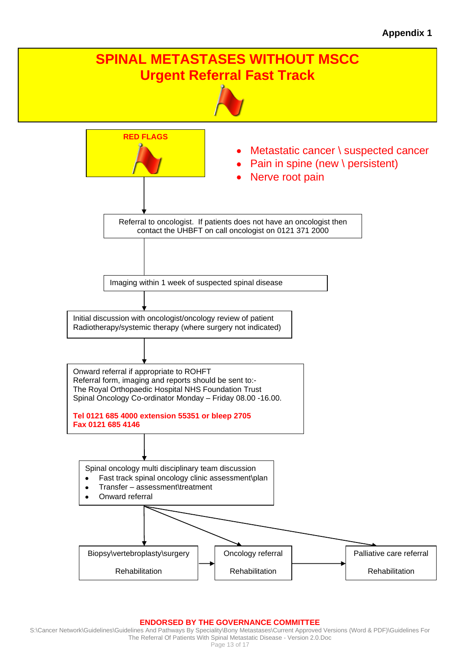

#### **ENDORSED BY THE GOVERNANCE COMMITTEE**

S:\Cancer Network\Guidelines\Guidelines And Pathways By Speciality\Bony Metastases\Current Approved Versions (Word & PDF)\Guidelines For The Referral Of Patients With Spinal Metastatic Disease - Version 2.0.Doc Page 13 of 17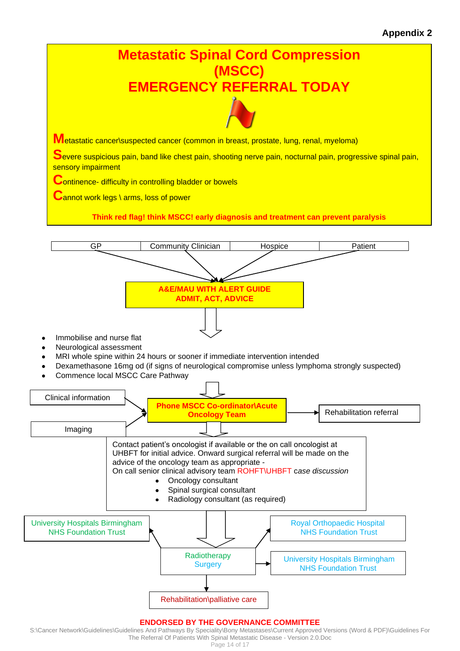# **Appendix 2**



#### S:\Cancer Network\Guidelines\Guidelines And Pathways By Speciality\Bony Metastases\Current Approved Versions (Word & PDF)\Guidelines For The Referral Of Patients With Spinal Metastatic Disease - Version 2.0.Doc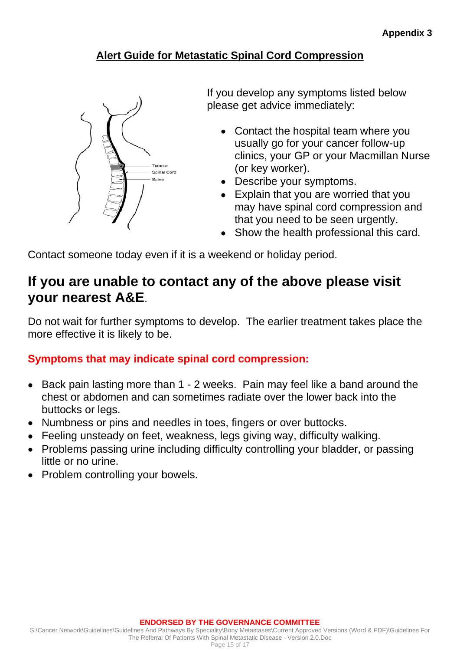# **Alert Guide for Metastatic Spinal Cord Compression**

<span id="page-14-0"></span>

If you develop any symptoms listed below please get advice immediately:

- Contact the hospital team where you usually go for your cancer follow-up clinics, your GP or your Macmillan Nurse (or key worker).
- Describe your symptoms.
- Explain that you are worried that you may have spinal cord compression and that you need to be seen urgently.
- Show the health professional this card.

Contact someone today even if it is a weekend or holiday period.

# **If you are unable to contact any of the above please visit your nearest A&E**.

Do not wait for further symptoms to develop. The earlier treatment takes place the more effective it is likely to be.

# **Symptoms that may indicate spinal cord compression:**

- Back pain lasting more than 1 2 weeks. Pain may feel like a band around the chest or abdomen and can sometimes radiate over the lower back into the buttocks or legs.
- Numbness or pins and needles in toes, fingers or over buttocks.
- Feeling unsteady on feet, weakness, legs giving way, difficulty walking.
- Problems passing urine including difficulty controlling your bladder, or passing little or no urine.
- Problem controlling your bowels.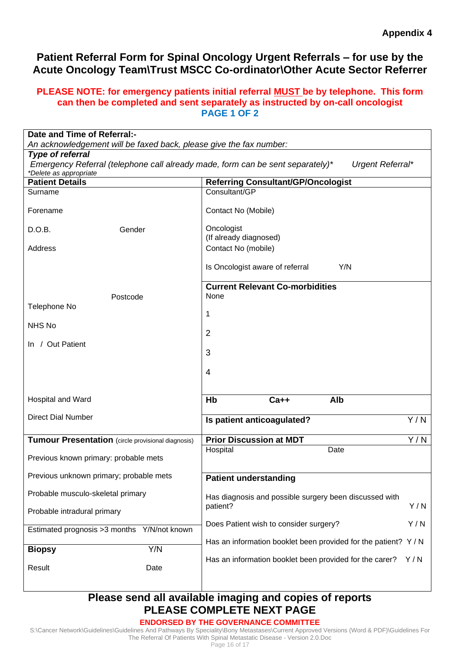# <span id="page-15-0"></span>**Patient Referral Form for Spinal Oncology Urgent Referrals – for use by the Acute Oncology Team\Trust MSCC Co-ordinator\Other Acute Sector Referrer**

### **PLEASE NOTE: for emergency patients initial referral MUST be by telephone. This form can then be completed and sent separately as instructed by on-call oncologist PAGE 1 OF 2**

| Date and Time of Referral:-<br>An acknowledgement will be faxed back, please give the fax number:  |                                                                           |  |
|----------------------------------------------------------------------------------------------------|---------------------------------------------------------------------------|--|
| <b>Type of referral</b>                                                                            |                                                                           |  |
| Emergency Referral (telephone call already made, form can be sent separately)*<br>Urgent Referral* |                                                                           |  |
| *Delete as appropriate<br><b>Patient Details</b>                                                   | <b>Referring Consultant/GP/Oncologist</b>                                 |  |
| Surname                                                                                            | Consultant/GP                                                             |  |
|                                                                                                    |                                                                           |  |
| Forename                                                                                           | Contact No (Mobile)                                                       |  |
| D.O.B.<br>Gender                                                                                   | Oncologist<br>(If already diagnosed)                                      |  |
| Address                                                                                            | Contact No (mobile)                                                       |  |
|                                                                                                    | Is Oncologist aware of referral<br>Y/N                                    |  |
|                                                                                                    | <b>Current Relevant Co-morbidities</b>                                    |  |
| Postcode                                                                                           | None                                                                      |  |
| Telephone No                                                                                       |                                                                           |  |
|                                                                                                    | 1                                                                         |  |
| NHS No                                                                                             | $\overline{2}$                                                            |  |
| In / Out Patient                                                                                   |                                                                           |  |
|                                                                                                    | 3                                                                         |  |
|                                                                                                    | 4                                                                         |  |
|                                                                                                    |                                                                           |  |
|                                                                                                    | Alb<br>Hb<br>$Ca++$                                                       |  |
| Hospital and Ward                                                                                  |                                                                           |  |
| <b>Direct Dial Number</b>                                                                          | Y/N<br>Is patient anticoagulated?                                         |  |
| Tumour Presentation (circle provisional diagnosis)                                                 | Y/N<br><b>Prior Discussion at MDT</b>                                     |  |
|                                                                                                    | Hospital<br>Date                                                          |  |
| Previous known primary: probable mets                                                              |                                                                           |  |
| Previous unknown primary; probable mets                                                            | <b>Patient understanding</b>                                              |  |
| Probable musculo-skeletal primary                                                                  | Has diagnosis and possible surgery been discussed with<br>Y/N<br>patient? |  |
| Probable intradural primary                                                                        |                                                                           |  |
| Estimated prognosis > 3 months Y/N/not known                                                       | Y/N<br>Does Patient wish to consider surgery?                             |  |
|                                                                                                    | Has an information booklet been provided for the patient? Y/N             |  |
| Y/N<br><b>Biopsy</b>                                                                               | Has an information booklet been provided for the carer?<br>Y/N            |  |
| Result<br>Date                                                                                     |                                                                           |  |

# **Please send all available imaging and copies of reports PLEASE COMPLETE NEXT PAGE**

# **ENDORSED BY THE GOVERNANCE COMMITTEE**

S:\Cancer Network\Guidelines\Guidelines And Pathways By Speciality\Bony Metastases\Current Approved Versions (Word & PDF)\Guidelines For The Referral Of Patients With Spinal Metastatic Disease - Version 2.0.Doc